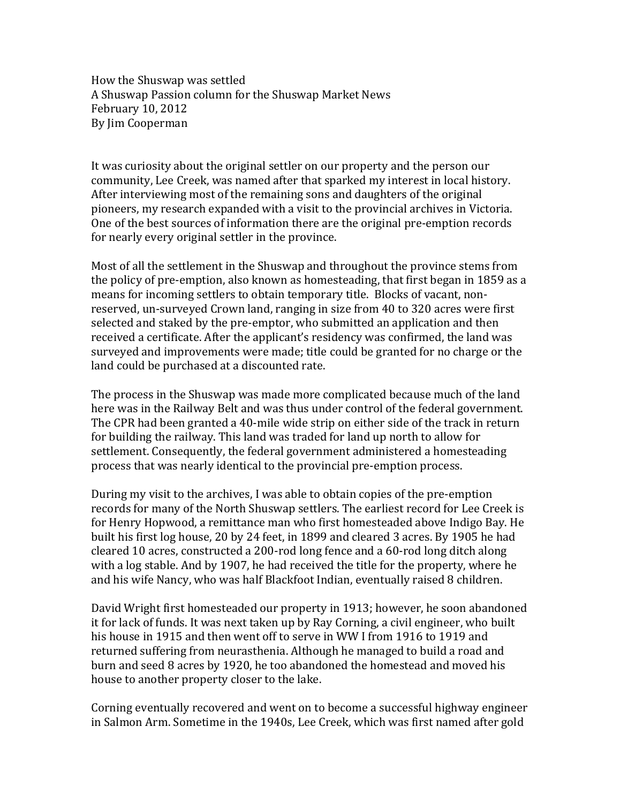How the Shuswap was settled A Shuswap Passion column for the Shuswap Market News February 10, 2012 By Jim Cooperman

It was curiosity about the original settler on our property and the person our community, Lee Creek, was named after that sparked my interest in local history. After interviewing most of the remaining sons and daughters of the original pioneers, my research expanded with a visit to the provincial archives in Victoria. One of the best sources of information there are the original pre-emption records for nearly every original settler in the province.

Most of all the settlement in the Shuswap and throughout the province stems from the policy of pre-emption, also known as homesteading, that first began in 1859 as a means for incoming settlers to obtain temporary title. Blocks of vacant, nonreserved, un-surveyed Crown land, ranging in size from 40 to 320 acres were first selected and staked by the pre-emptor, who submitted an application and then received a certificate. After the applicant's residency was confirmed, the land was surveyed and improvements were made; title could be granted for no charge or the land could be purchased at a discounted rate.

The process in the Shuswap was made more complicated because much of the land here was in the Railway Belt and was thus under control of the federal government. The CPR had been granted a 40-mile wide strip on either side of the track in return for building the railway. This land was traded for land up north to allow for settlement. Consequently, the federal government administered a homesteading process that was nearly identical to the provincial pre-emption process.

During my visit to the archives, I was able to obtain copies of the pre-emption records for many of the North Shuswap settlers. The earliest record for Lee Creek is for Henry Hopwood, a remittance man who first homesteaded above Indigo Bay. He built his first log house, 20 by 24 feet, in 1899 and cleared 3 acres. By 1905 he had cleared 10 acres, constructed a 200-rod long fence and a 60-rod long ditch along with a log stable. And by 1907, he had received the title for the property, where he and his wife Nancy, who was half Blackfoot Indian, eventually raised 8 children.

David Wright first homesteaded our property in 1913; however, he soon abandoned it for lack of funds. It was next taken up by Ray Corning, a civil engineer, who built his house in 1915 and then went off to serve in WW I from 1916 to 1919 and returned suffering from neurasthenia. Although he managed to build a road and burn and seed 8 acres by 1920, he too abandoned the homestead and moved his house to another property closer to the lake.

Corning eventually recovered and went on to become a successful highway engineer in Salmon Arm. Sometime in the 1940s, Lee Creek, which was first named after gold